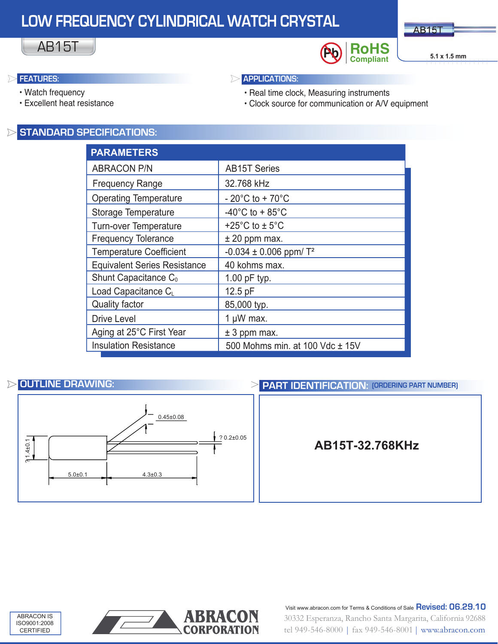# **LOW FREQUENCY CYLINDRICAL WATCH CRYSTAL**





### ▷

#### • Watch frequency

AB15T

• Excellent heat resistance

# **FEATURES: APPLICATIONS:**

- Real time clock, Measuring instruments
- Clock source for communication or A/V equipment

# **STANDARD SPECIFICATIONS:**

| <b>PARAMETERS</b>                   |                                          |
|-------------------------------------|------------------------------------------|
| <b>ABRACON P/N</b>                  | <b>AB15T Series</b>                      |
| <b>Frequency Range</b>              | 32.768 kHz                               |
| <b>Operating Temperature</b>        | - 20 $^{\circ}$ C to + 70 $^{\circ}$ C   |
| Storage Temperature                 | -40 $^{\circ}$ C to + 85 $^{\circ}$ C    |
| Turn-over Temperature               | +25 $^{\circ}$ C to $\pm$ 5 $^{\circ}$ C |
| <b>Frequency Tolerance</b>          | $±$ 20 ppm max.                          |
| <b>Temperature Coefficient</b>      | $-0.034 \pm 0.006$ ppm/T <sup>2</sup>    |
| <b>Equivalent Series Resistance</b> | 40 kohms max.                            |
| Shunt Capacitance C <sub>0</sub>    | $1.00$ pF typ.                           |
| Load Capacitance CL                 | 12.5 pF                                  |
| <b>Quality factor</b>               | 85,000 typ.                              |
| <b>Drive Level</b>                  | 1 $\mu$ W max.                           |
| Aging at 25°C First Year            | $± 3$ ppm max.                           |
| <b>Insulation Resistance</b>        | 500 Mohms min. at 100 Vdc ± 15V          |



# **OUTLINE DRAWING: PART IDENTIFICATION: (ORDERING PART NUMBER)**







30332 Esperanza, Rancho Santa Margarita, California 92688 tel 949-546-8000 | fax 949-546-8001 | www.abracon.com Visit www.abracon.com for Terms & Conditions of Sale **Revised: 06.29.10**